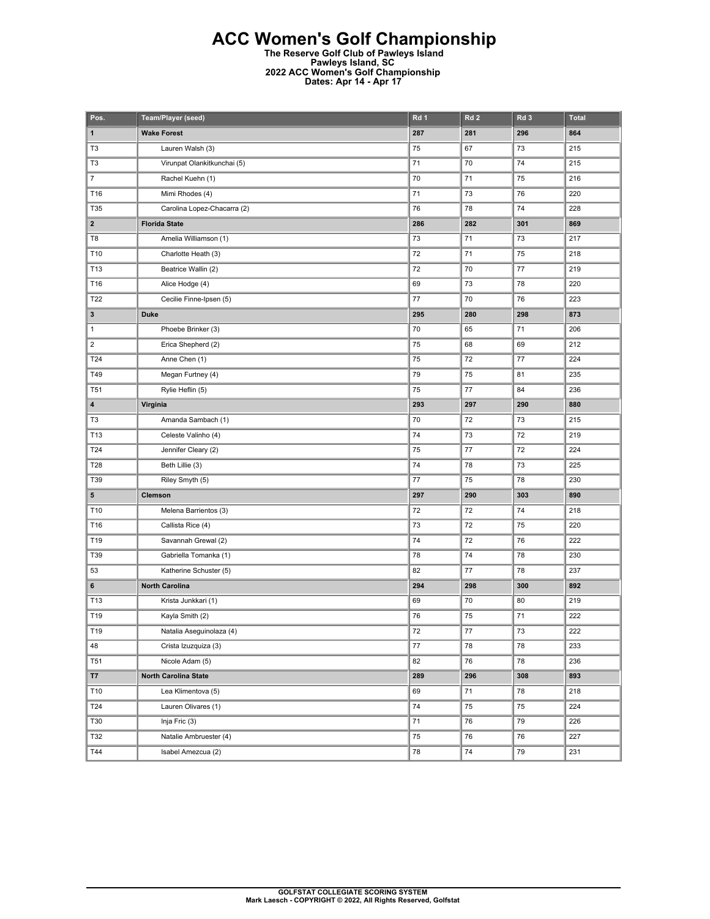## **ACC Women's Golf Championship**

**The Reserve Golf Club of Pawleys Island Pawleys Island, SC 2022 ACC Women's Golf Championship Dates: Apr 14 - Apr 17** 

| Pos.                    | Team/Player (seed)          | Rd 1    | Rd <sub>2</sub> | Rd <sub>3</sub> | <b>Total</b> |
|-------------------------|-----------------------------|---------|-----------------|-----------------|--------------|
| $\mathbf{1}$            | <b>Wake Forest</b>          | 287     | 281             | 296             | 864          |
| T <sub>3</sub>          | Lauren Walsh (3)            | 75      | 67              | 73              | 215          |
| T <sub>3</sub>          | Virunpat Olankitkunchai (5) | 71      | 70              | 74              | 215          |
| $\boldsymbol{7}$        | Rachel Kuehn (1)            | 70      | 71              | 75              | 216          |
| T16                     | Mimi Rhodes (4)             | 71      | 73              | 76              | 220          |
| T35                     | Carolina Lopez-Chacarra (2) | 76      | 78              | 74              | 228          |
| $\mathbf{2}$            | <b>Florida State</b>        | 286     | 282             | 301             | 869          |
| T8                      | Amelia Williamson (1)       | 73      | 71              | 73              | 217          |
| T10                     | Charlotte Heath (3)         | 72      | 71              | 75              | 218          |
| T13                     | Beatrice Wallin (2)         | 72      | 70              | 77              | 219          |
| T16                     | Alice Hodge (4)             | 69      | 73              | 78              | 220          |
| T22                     | Cecilie Finne-Ipsen (5)     | 77      | 70              | 76              | 223          |
| 3                       | <b>Duke</b>                 | 295     | 280             | 298             | 873          |
| $\mathbf{1}$            | Phoebe Brinker (3)          | 70      | 65              | 71              | 206          |
| $\overline{\mathbf{c}}$ | Erica Shepherd (2)          | 75      | 68              | 69              | 212          |
| T24                     | Anne Chen (1)               | 75      | 72              | 77              | 224          |
| T49                     | Megan Furtney (4)           | 79      | 75              | 81              | 235          |
| <b>T51</b>              | Rylie Heflin (5)            | 75      | 77              | 84              | 236          |
| 4                       | Virginia                    | 293     | 297             | 290             | 880          |
| T3                      | Amanda Sambach (1)          | 70      | 72              | 73              | 215          |
| T13                     | Celeste Valinho (4)         | 74      | 73              | 72              | 219          |
| T24                     | Jennifer Cleary (2)         | 75      | 77              | 72              | 224          |
| T28                     | Beth Lillie (3)             | 74      | 78              | 73              | 225          |
| T39                     | Riley Smyth (5)             | 77      | 75              | 78              | 230          |
| 5                       | Clemson                     | 297     | 290             | 303             | 890          |
| T10                     | Melena Barrientos (3)       | 72      | 72              | 74              | 218          |
| T16                     | Callista Rice (4)           | 73      | 72              | 75              | 220          |
| T19                     | Savannah Grewal (2)         | 74      | 72              | 76              | 222          |
| T39                     | Gabriella Tomanka (1)       | 78      | 74              | 78              | 230          |
| 53                      | Katherine Schuster (5)      | 82      | 77              | 78              | 237          |
| 6                       | <b>North Carolina</b>       | 294     | 298             | 300             | 892          |
| T13                     | Krista Junkkari (1)         | 69      | 70              | 80              | 219          |
| T19                     | Kayla Smith (2)             | 76      | 75              | 71              | 222          |
| T19                     | Natalia Aseguinolaza (4)    | 72      | 77              | 73              | 222          |
| 48                      | Crista Izuzquiza (3)        | $77 \,$ | 78              | 78              | 233          |
| <b>T51</b>              | Nicole Adam (5)             | 82      | 76              | 78              | 236          |
| <b>T7</b>               | <b>North Carolina State</b> | 289     | 296             | 308             | 893          |
| T10                     | Lea Klimentova (5)          | 69      | 71              | 78              | 218          |
| T24                     | Lauren Olivares (1)         | 74      | 75              | 75              | 224          |
| T30                     | Inja Fric (3)               | 71      | 76              | 79              | 226          |
| T32                     | Natalie Ambruester (4)      | 75      | 76              | 76              | 227          |
| T44                     | Isabel Amezcua (2)          | 78      | 74              | 79              | 231          |